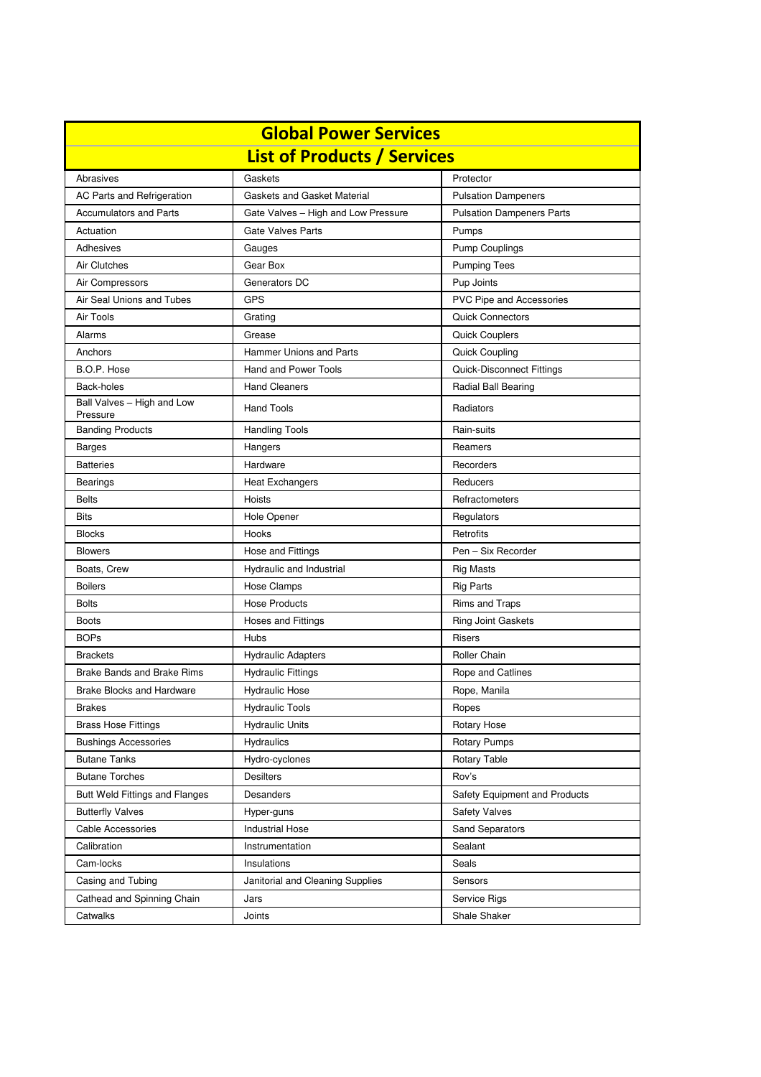| <b>Global Power Services</b>           |                                     |                                  |  |  |
|----------------------------------------|-------------------------------------|----------------------------------|--|--|
| <b>List of Products / Services</b>     |                                     |                                  |  |  |
| Abrasives                              | Gaskets                             | Protector                        |  |  |
| AC Parts and Refrigeration             | Gaskets and Gasket Material         | <b>Pulsation Dampeners</b>       |  |  |
| <b>Accumulators and Parts</b>          | Gate Valves - High and Low Pressure | <b>Pulsation Dampeners Parts</b> |  |  |
| Actuation                              | <b>Gate Valves Parts</b>            | Pumps                            |  |  |
| Adhesives                              | Gauges                              | <b>Pump Couplings</b>            |  |  |
| Air Clutches                           | Gear Box                            | <b>Pumping Tees</b>              |  |  |
| Air Compressors                        | Generators DC                       | Pup Joints                       |  |  |
| Air Seal Unions and Tubes              | <b>GPS</b>                          | PVC Pipe and Accessories         |  |  |
| Air Tools                              | Grating                             | <b>Quick Connectors</b>          |  |  |
| Alarms                                 | Grease                              | <b>Quick Couplers</b>            |  |  |
| Anchors                                | <b>Hammer Unions and Parts</b>      | <b>Quick Coupling</b>            |  |  |
| B.O.P. Hose                            | Hand and Power Tools                | Quick-Disconnect Fittings        |  |  |
| Back-holes                             | <b>Hand Cleaners</b>                | <b>Radial Ball Bearing</b>       |  |  |
| Ball Valves - High and Low<br>Pressure | <b>Hand Tools</b>                   | Radiators                        |  |  |
| <b>Banding Products</b>                | <b>Handling Tools</b>               | Rain-suits                       |  |  |
| <b>Barges</b>                          | Hangers                             | Reamers                          |  |  |
| <b>Batteries</b>                       | Hardware                            | Recorders                        |  |  |
| <b>Bearings</b>                        | <b>Heat Exchangers</b>              | Reducers                         |  |  |
| <b>Belts</b>                           | Hoists                              | Refractometers                   |  |  |
| <b>Bits</b>                            | Hole Opener                         | Regulators                       |  |  |
| <b>Blocks</b>                          | Hooks                               | Retrofits                        |  |  |
| <b>Blowers</b>                         | Hose and Fittings                   | Pen - Six Recorder               |  |  |
| Boats, Crew                            | Hydraulic and Industrial            | <b>Rig Masts</b>                 |  |  |
| <b>Boilers</b>                         | <b>Hose Clamps</b>                  | <b>Rig Parts</b>                 |  |  |
| <b>Bolts</b>                           | <b>Hose Products</b>                | Rims and Traps                   |  |  |
| <b>Boots</b>                           | Hoses and Fittings                  | Ring Joint Gaskets               |  |  |
| <b>BOPs</b>                            | <b>Hubs</b>                         | <b>Risers</b>                    |  |  |
| <b>Brackets</b>                        | <b>Hydraulic Adapters</b>           | Roller Chain                     |  |  |
| <b>Brake Bands and Brake Rims</b>      | <b>Hydraulic Fittings</b>           | Rope and Catlines                |  |  |
| <b>Brake Blocks and Hardware</b>       | <b>Hydraulic Hose</b>               | Rope, Manila                     |  |  |
| Brakes                                 | <b>Hydraulic Tools</b>              | Ropes                            |  |  |
| <b>Brass Hose Fittings</b>             | <b>Hydraulic Units</b>              | Rotary Hose                      |  |  |
| <b>Bushings Accessories</b>            | <b>Hydraulics</b>                   | <b>Rotary Pumps</b>              |  |  |
| <b>Butane Tanks</b>                    | Hydro-cyclones                      | Rotary Table                     |  |  |
| <b>Butane Torches</b>                  | <b>Desilters</b>                    | Rov's                            |  |  |
| <b>Butt Weld Fittings and Flanges</b>  | Desanders                           | Safety Equipment and Products    |  |  |
| <b>Butterfly Valves</b>                | Hyper-guns                          | <b>Safety Valves</b>             |  |  |
| Cable Accessories                      | <b>Industrial Hose</b>              | Sand Separators                  |  |  |
| Calibration                            | Instrumentation                     | Sealant                          |  |  |
| Cam-locks                              | Insulations                         | Seals                            |  |  |
| Casing and Tubing                      | Janitorial and Cleaning Supplies    | Sensors                          |  |  |
| Cathead and Spinning Chain             | Jars                                | Service Rigs                     |  |  |
| Catwalks                               | Joints                              | Shale Shaker                     |  |  |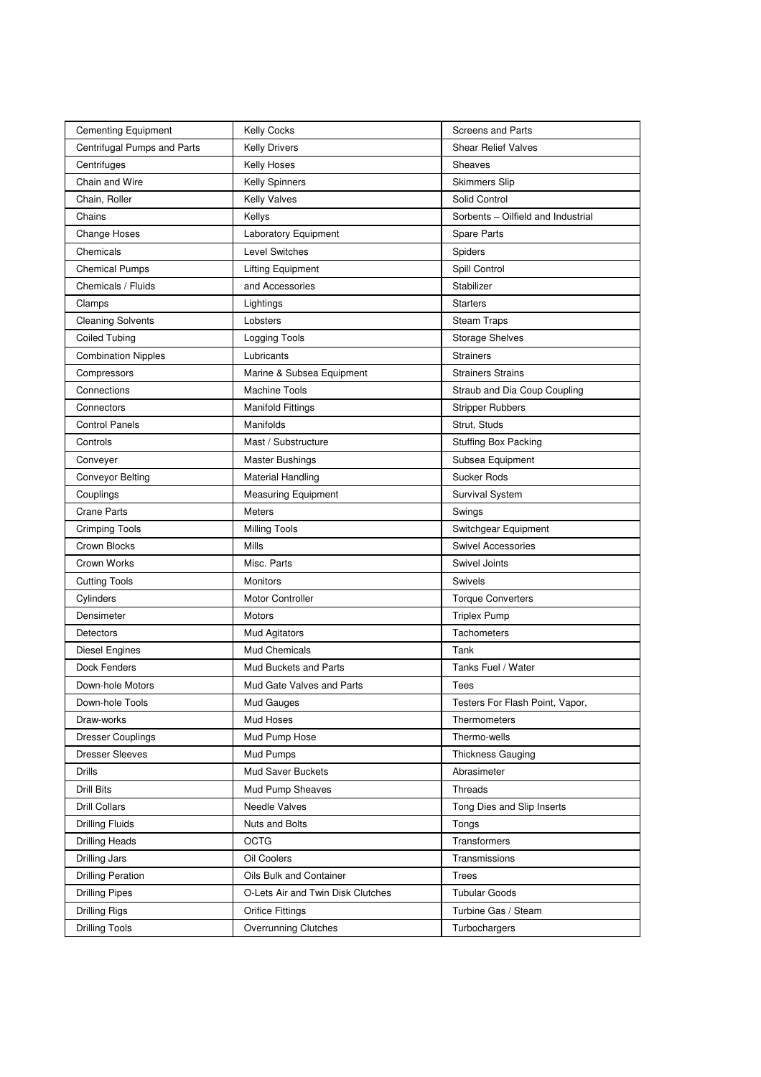| <b>Cementing Equipment</b>  | <b>Kelly Cocks</b>                | <b>Screens and Parts</b>           |
|-----------------------------|-----------------------------------|------------------------------------|
| Centrifugal Pumps and Parts | <b>Kelly Drivers</b>              | <b>Shear Relief Valves</b>         |
| Centrifuges                 | Kelly Hoses                       | Sheaves                            |
| Chain and Wire              | Kelly Spinners                    | <b>Skimmers Slip</b>               |
| Chain, Roller               | <b>Kelly Valves</b>               | Solid Control                      |
| Chains                      | Kellys                            | Sorbents - Oilfield and Industrial |
| <b>Change Hoses</b>         | Laboratory Equipment              | Spare Parts                        |
| Chemicals                   | <b>Level Switches</b>             | Spiders                            |
| <b>Chemical Pumps</b>       | <b>Lifting Equipment</b>          | Spill Control                      |
| Chemicals / Fluids          | and Accessories                   | Stabilizer                         |
| Clamps                      | Lightings                         | <b>Starters</b>                    |
| <b>Cleaning Solvents</b>    | Lobsters                          | <b>Steam Traps</b>                 |
| <b>Coiled Tubing</b>        | Logging Tools                     | <b>Storage Shelves</b>             |
| <b>Combination Nipples</b>  | Lubricants                        | Strainers                          |
| Compressors                 | Marine & Subsea Equipment         | <b>Strainers Strains</b>           |
| Connections                 | <b>Machine Tools</b>              | Straub and Dia Coup Coupling       |
| Connectors                  | <b>Manifold Fittings</b>          | <b>Stripper Rubbers</b>            |
| <b>Control Panels</b>       | Manifolds                         | Strut, Studs                       |
| Controls                    | Mast / Substructure               | <b>Stuffing Box Packing</b>        |
| Conveyer                    | <b>Master Bushings</b>            | Subsea Equipment                   |
| <b>Conveyor Belting</b>     | <b>Material Handling</b>          | <b>Sucker Rods</b>                 |
| Couplings                   | <b>Measuring Equipment</b>        | Survival System                    |
| <b>Crane Parts</b>          | <b>Meters</b>                     | Swings                             |
| <b>Crimping Tools</b>       | <b>Milling Tools</b>              | Switchgear Equipment               |
| Crown Blocks                | Mills                             | Swivel Accessories                 |
| Crown Works                 | Misc. Parts                       | Swivel Joints                      |
| <b>Cutting Tools</b>        | <b>Monitors</b>                   | <b>Swivels</b>                     |
| Cylinders                   | <b>Motor Controller</b>           | <b>Torque Converters</b>           |
| Densimeter                  | Motors                            | <b>Triplex Pump</b>                |
| <b>Detectors</b>            | Mud Agitators                     | <b>Tachometers</b>                 |
| Diesel Engines              | Mud Chemicals                     | Tank                               |
| Dock Fenders                | Mud Buckets and Parts             | Tanks Fuel / Water                 |
| Down-hole Motors            | Mud Gate Valves and Parts         | Tees                               |
| Down-hole Tools             | Mud Gauges                        | Testers For Flash Point, Vapor,    |
| Draw-works                  | Mud Hoses                         | Thermometers                       |
| <b>Dresser Couplings</b>    | Mud Pump Hose                     | Thermo-wells                       |
| <b>Dresser Sleeves</b>      | Mud Pumps                         | <b>Thickness Gauging</b>           |
| <b>Drills</b>               | <b>Mud Saver Buckets</b>          | Abrasimeter                        |
| <b>Drill Bits</b>           | Mud Pump Sheaves                  | Threads                            |
| <b>Drill Collars</b>        | <b>Needle Valves</b>              | Tong Dies and Slip Inserts         |
| <b>Drilling Fluids</b>      | Nuts and Bolts                    | Tongs                              |
| <b>Drilling Heads</b>       | <b>OCTG</b>                       | Transformers                       |
| Drilling Jars               | Oil Coolers                       | Transmissions                      |
| <b>Drilling Peration</b>    | Oils Bulk and Container           | <b>Trees</b>                       |
| <b>Drilling Pipes</b>       | O-Lets Air and Twin Disk Clutches | <b>Tubular Goods</b>               |
| <b>Drilling Rigs</b>        | <b>Orifice Fittings</b>           | Turbine Gas / Steam                |
| <b>Drilling Tools</b>       | <b>Overrunning Clutches</b>       | Turbochargers                      |